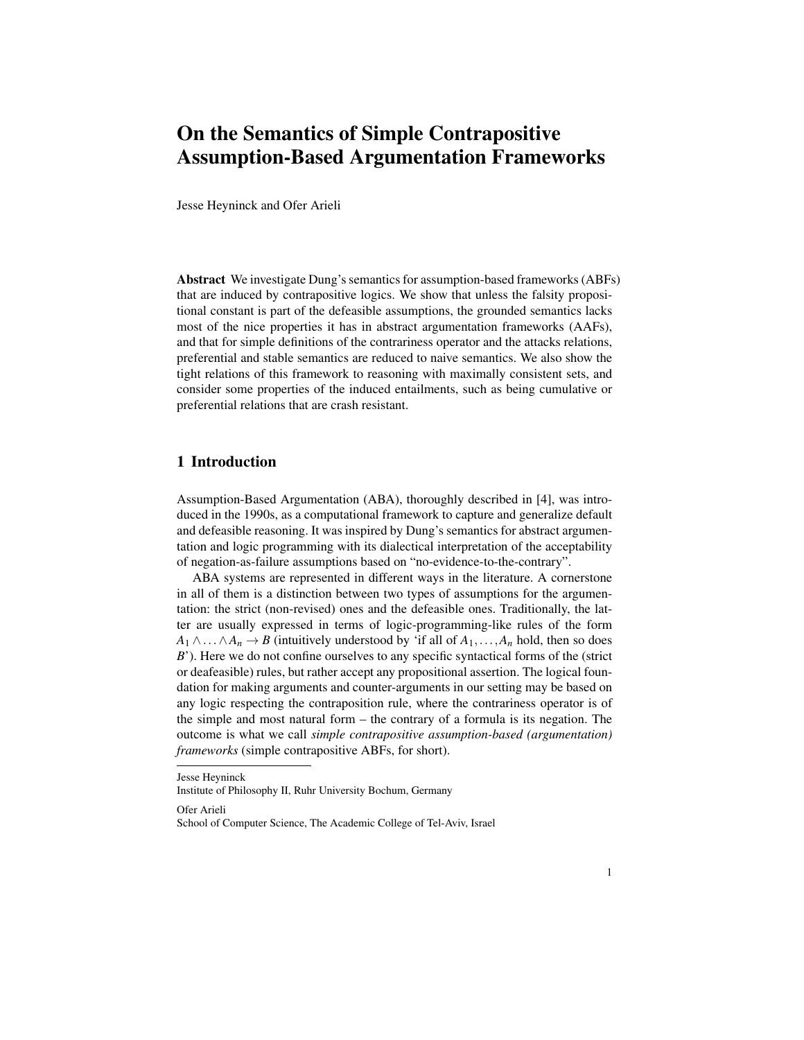## On the Semantics of Simple Contrapositive Assumption-Based Argumentation Frameworks

Jesse Heyninck and Ofer Arieli

Abstract We investigate Dung's semantics for assumption-based frameworks (ABFs) that are induced by contrapositive logics. We show that unless the falsity propositional constant is part of the defeasible assumptions, the grounded semantics lacks most of the nice properties it has in abstract argumentation frameworks (AAFs), and that for simple definitions of the contrariness operator and the attacks relations, preferential and stable semantics are reduced to naive semantics. We also show the tight relations of this framework to reasoning with maximally consistent sets, and consider some properties of the induced entailments, such as being cumulative or preferential relations that are crash resistant.

## 1 Introduction

Assumption-Based Argumentation (ABA), thoroughly described in [4], was introduced in the 1990s, as a computational framework to capture and generalize default and defeasible reasoning. It was inspired by Dung's semantics for abstract argumentation and logic programming with its dialectical interpretation of the acceptability of negation-as-failure assumptions based on "no-evidence-to-the-contrary".

ABA systems are represented in different ways in the literature. A cornerstone in all of them is a distinction between two types of assumptions for the argumentation: the strict (non-revised) ones and the defeasible ones. Traditionally, the latter are usually expressed in terms of logic-programming-like rules of the form  $A_1 \wedge \ldots \wedge A_n \rightarrow B$  (intuitively understood by 'if all of  $A_1, \ldots, A_n$  hold, then so does *B*'). Here we do not confine ourselves to any specific syntactical forms of the (strict or deafeasible) rules, but rather accept any propositional assertion. The logical foundation for making arguments and counter-arguments in our setting may be based on any logic respecting the contraposition rule, where the contrariness operator is of the simple and most natural form – the contrary of a formula is its negation. The outcome is what we call *simple contrapositive assumption-based (argumentation) frameworks* (simple contrapositive ABFs, for short).

Jesse Heyninck

Institute of Philosophy II, Ruhr University Bochum, Germany

Ofer Arieli

School of Computer Science, The Academic College of Tel-Aviv, Israel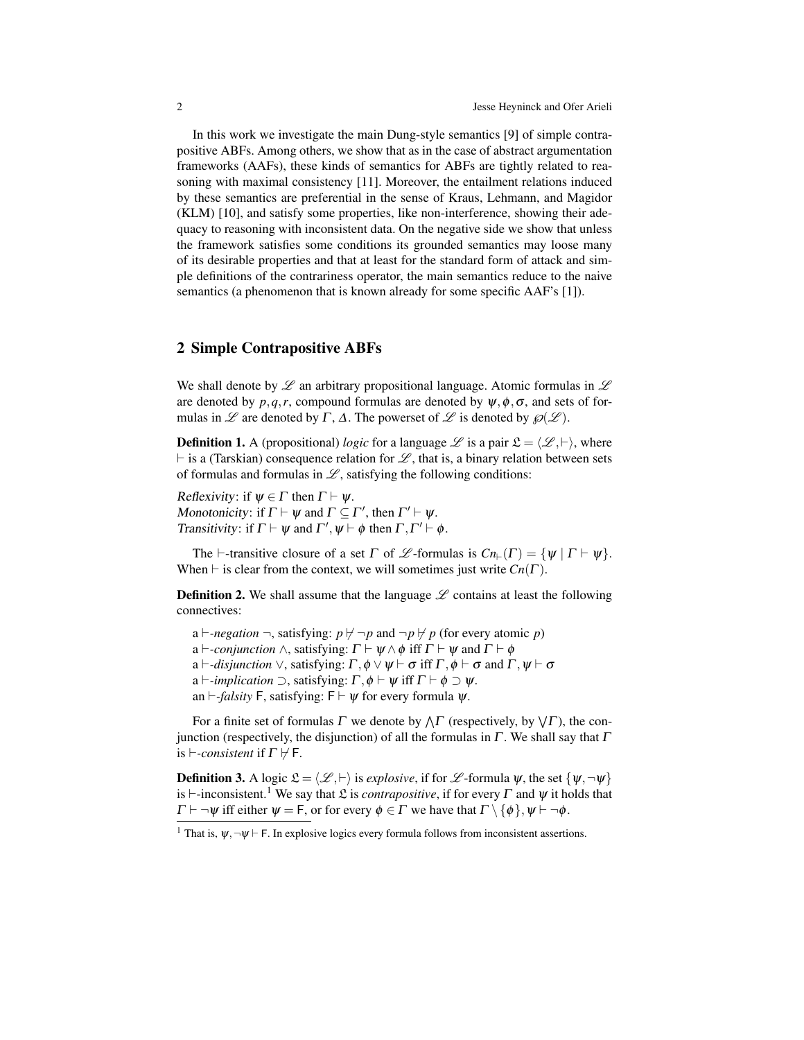In this work we investigate the main Dung-style semantics [9] of simple contrapositive ABFs. Among others, we show that as in the case of abstract argumentation frameworks (AAFs), these kinds of semantics for ABFs are tightly related to reasoning with maximal consistency [11]. Moreover, the entailment relations induced by these semantics are preferential in the sense of Kraus, Lehmann, and Magidor (KLM) [10], and satisfy some properties, like non-interference, showing their adequacy to reasoning with inconsistent data. On the negative side we show that unless the framework satisfies some conditions its grounded semantics may loose many of its desirable properties and that at least for the standard form of attack and simple definitions of the contrariness operator, the main semantics reduce to the naive semantics (a phenomenon that is known already for some specific AAF's [1]).

## 2 Simple Contrapositive ABFs

We shall denote by  $\mathscr L$  an arbitrary propositional language. Atomic formulas in  $\mathscr L$ are denoted by  $p, q, r$ , compound formulas are denoted by  $\psi, \phi, \sigma$ , and sets of formulas in  $\mathscr L$  are denoted by  $\Gamma$ ,  $\Delta$ . The powerset of  $\mathscr L$  is denoted by  $\mathscr D(\mathscr L)$ .

**Definition 1.** A (propositional) *logic* for a language  $\mathscr{L}$  is a pair  $\mathfrak{L} = \langle \mathscr{L}, \vdash \rangle$ , where  $\vdash$  is a (Tarskian) consequence relation for  $\mathscr L$ , that is, a binary relation between sets of formulas and formulas in  $\mathscr{L}$ , satisfying the following conditions:

Reflexivity: if  $\psi \in \Gamma$  then  $\Gamma \vdash \psi$ . Monotonicity: if  $\Gamma \vdash \psi$  and  $\Gamma \subseteq \Gamma'$ , then  $\Gamma' \vdash \psi$ . Transitivity: if  $\Gamma \vdash \psi$  and  $\Gamma', \psi \vdash \phi$  then  $\Gamma, \Gamma' \vdash \phi$ .

The  $\vdash$ -transitive closure of a set  $\Gamma$  of  $\mathscr L$ -formulas is  $Cn_{\vdash}(\Gamma) = {\psi | \Gamma \vdash \psi}.$ When  $\vdash$  is clear from the context, we will sometimes just write  $Cn(\Gamma)$ .

**Definition 2.** We shall assume that the language  $\mathscr L$  contains at least the following connectives:

a  $\vdash$ *-negation*  $\neg$ , satisfying:  $p \nvdash \neg p$  and  $\neg p \nvdash p$  (for every atomic *p*) a  $\vdash$ -*conjunction*  $\land$ , satisfying:  $\Gamma \vdash \psi \land \phi$  iff  $\Gamma \vdash \psi$  and  $\Gamma \vdash \phi$ a  $\vdash$ *-disjunction*  $\vee$ , satisfying:  $\Gamma$ ,  $\phi \vee \psi \vdash \sigma$  iff  $\Gamma$ ,  $\phi \vdash \sigma$  and  $\Gamma$ ,  $\psi \vdash \sigma$ a  $\vdash$ *-implication*  $\supset$ , satisfying:  $\Gamma$ ,  $\phi \vdash \psi$  iff  $\Gamma \vdash \phi \supset \psi$ . an  $\vdash$ *-falsity* F, satisfying: F  $\vdash \psi$  for every formula  $\psi$ .

For a finite set of formulas  $\Gamma$  we denote by  $\wedge \Gamma$  (respectively, by  $\vee \Gamma$ ), the conjunction (respectively, the disjunction) of all the formulas in  $\Gamma$ . We shall say that  $\Gamma$ is  $\vdash$ -consistent if  $\Gamma \not\vdash F$ .

**Definition 3.** A logic  $\mathcal{L} = \langle \mathcal{L}, \vdash \rangle$  is *explosive*, if for  $\mathcal{L}$ -formula  $\psi$ , the set  $\{\psi, \neg \psi\}$ is  $\vdash$ -inconsistent.<sup>1</sup> We say that  $\mathfrak L$  is *contrapositive*, if for every  $\Gamma$  and  $\psi$  it holds that  $\Gamma \vdash \neg \psi$  iff either  $\psi = F$ , or for every  $\phi \in \Gamma$  we have that  $\Gamma \setminus \{\phi\}, \psi \vdash \neg \phi$ .

<sup>&</sup>lt;sup>1</sup> That is,  $\psi$ ,  $\neg \psi \vdash F$ . In explosive logics every formula follows from inconsistent assertions.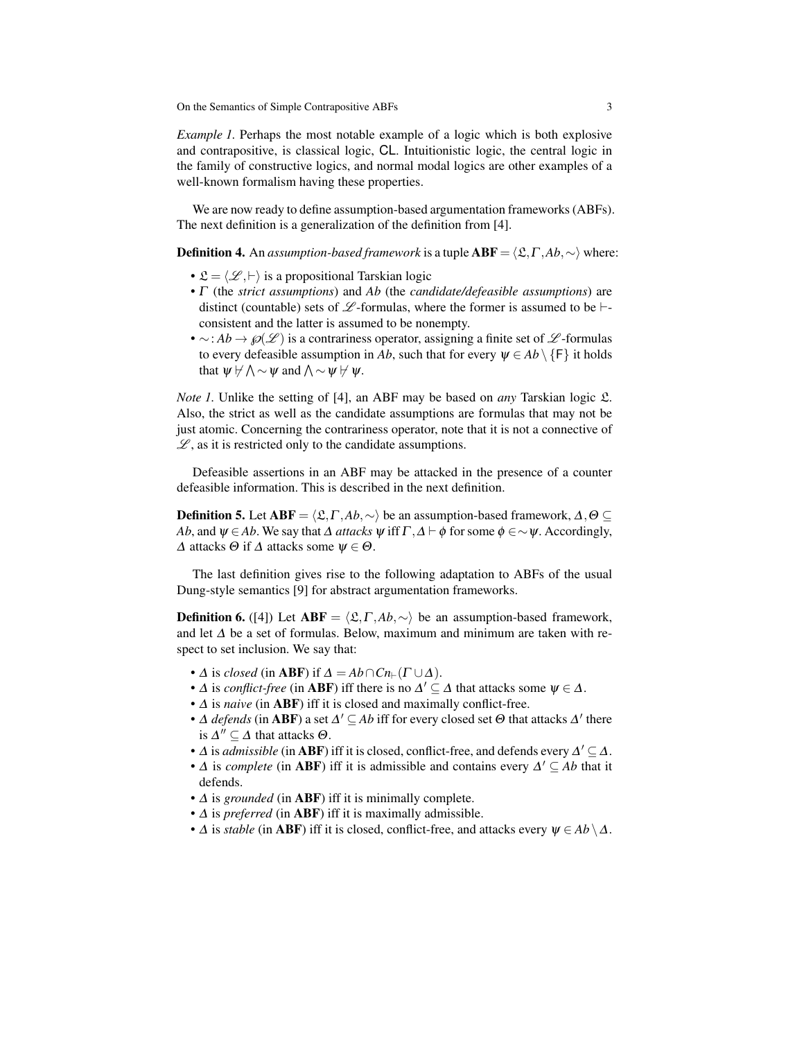*Example 1.* Perhaps the most notable example of a logic which is both explosive and contrapositive, is classical logic, CL. Intuitionistic logic, the central logic in the family of constructive logics, and normal modal logics are other examples of a well-known formalism having these properties.

We are now ready to define assumption-based argumentation frameworks (ABFs). The next definition is a generalization of the definition from [4].

**Definition 4.** An *assumption-based framework* is a tuple  $ABF = \langle \mathcal{L}, \Gamma, Ab, \sim \rangle$  where:

- $\mathfrak{L} = \langle \mathcal{L}, \vdash \rangle$  is a propositional Tarskian logic
- Γ (the *strict assumptions*) and *Ab* (the *candidate/defeasible assumptions*) are distinct (countable) sets of  $\mathscr L$ -formulas, where the former is assumed to be  $\vdash$ consistent and the latter is assumed to be nonempty.
- $\sim$ : *Ab* →  $\wp(\mathscr{L})$  is a contrariness operator, assigning a finite set of  $\mathscr{L}$ -formulas to every defeasible assumption in *Ab*, such that for every  $\psi \in Ab \setminus {\{F\}}$  it holds that  $\psi \not\vdash \wedge \sim \psi$  and  $\wedge \sim \psi \not\vdash \psi$ .

*Note 1.* Unlike the setting of [4], an ABF may be based on *any* Tarskian logic  $\mathfrak{L}$ . Also, the strict as well as the candidate assumptions are formulas that may not be just atomic. Concerning the contrariness operator, note that it is not a connective of  $\mathscr{L}$ , as it is restricted only to the candidate assumptions.

Defeasible assertions in an ABF may be attacked in the presence of a counter defeasible information. This is described in the next definition.

**Definition 5.** Let  $ABF = \langle \mathcal{L}, \Gamma, Ab, \sim \rangle$  be an assumption-based framework,  $\Delta, \Theta \subseteq$ *Ab*, and  $\psi \in Ab$ . We say that  $\Delta$  *attacks*  $\psi$  iff  $\Gamma$ ,  $\Delta \vdash \phi$  for some  $\phi \in \sim \psi$ . Accordingly,  $\Delta$  attacks  $\Theta$  if  $\Delta$  attacks some  $\psi \in \Theta$ .

The last definition gives rise to the following adaptation to ABFs of the usual Dung-style semantics [9] for abstract argumentation frameworks.

**Definition 6.** ([4]) Let  $ABF = \langle \mathcal{L}, \Gamma, Ab, \sim \rangle$  be an assumption-based framework, and let  $\Delta$  be a set of formulas. Below, maximum and minimum are taken with respect to set inclusion. We say that:

- $\Delta$  is *closed* (in **ABF**) if  $\Delta = Ab \cap Cn_{\vdash}(\Gamma \cup \Delta)$ .
- $\Delta$  is *conflict-free* (in **ABF**) iff there is no  $\Delta' \subseteq \Delta$  that attacks some  $\psi \in \Delta$ .
- ∆ is *naive* (in ABF) iff it is closed and maximally conflict-free.
- $\Delta$  *defends* (in **ABF**) a set  $\Delta' \subseteq Ab$  iff for every closed set  $\Theta$  that attacks  $\Delta'$  there is  $\Delta'' \subseteq \Delta$  that attacks  $\Theta$ .
- $\Delta$  is *admissible* (in **ABF**) iff it is closed, conflict-free, and defends every  $\Delta' \subseteq \Delta$ .
- $\Delta$  is *complete* (in ABF) iff it is admissible and contains every  $\Delta' \subseteq Ab$  that it defends.
- ∆ is *grounded* (in ABF) iff it is minimally complete.
- ∆ is *preferred* (in ABF) iff it is maximally admissible.
- $\Delta$  is *stable* (in **ABF**) iff it is closed, conflict-free, and attacks every  $\psi \in Ab \setminus \Delta$ .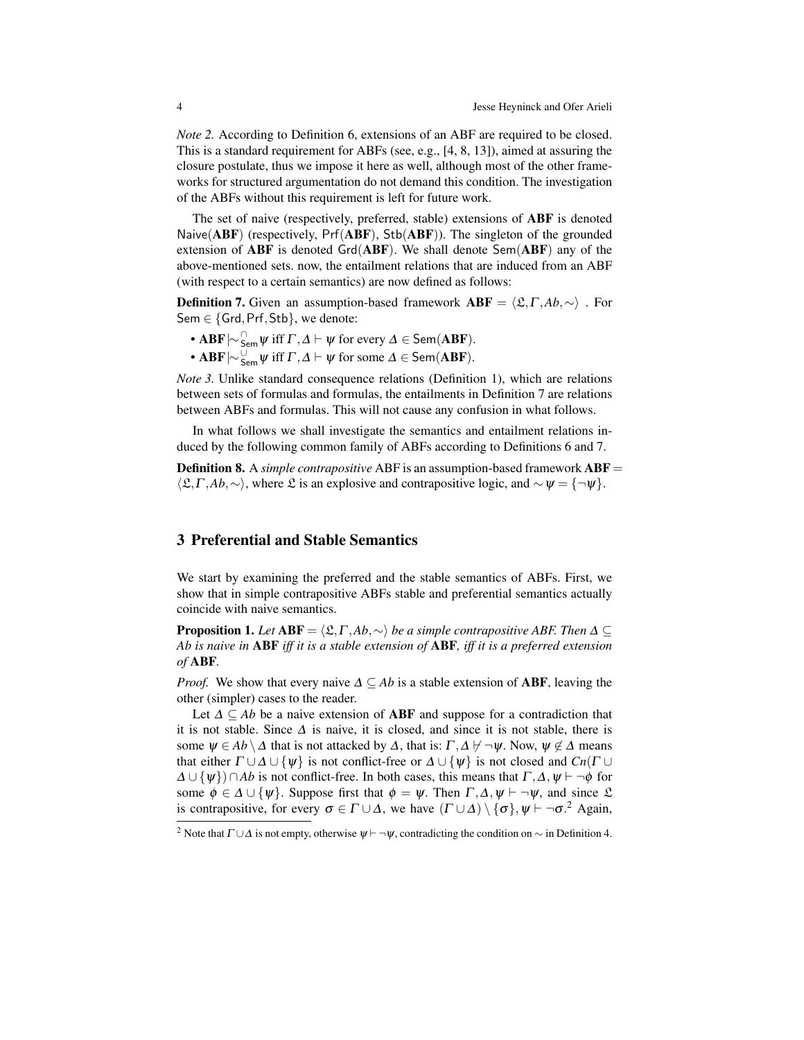*Note 2.* According to Definition 6, extensions of an ABF are required to be closed. This is a standard requirement for ABFs (see, e.g., [4, 8, 13]), aimed at assuring the closure postulate, thus we impose it here as well, although most of the other frameworks for structured argumentation do not demand this condition. The investigation of the ABFs without this requirement is left for future work.

The set of naive (respectively, preferred, stable) extensions of ABF is denoted Naive( $ABF$ ) (respectively,  $Pr(ABF)$ ,  $Stb(ABF)$ ). The singleton of the grounded extension of  $ABF$  is denoted  $Grd(ABF)$ . We shall denote  $Sem(ABF)$  any of the above-mentioned sets. now, the entailment relations that are induced from an ABF (with respect to a certain semantics) are now defined as follows:

**Definition 7.** Given an assumption-based framework  $ABF = \langle \mathfrak{L}, \Gamma, Ab, \sim \rangle$ . For Sem ∈ {Grd, Prf, Stb}, we denote:

- $ABF \sim_{Sem}^{\cap} \psi$  iff  $\Gamma, \Delta \vdash \psi$  for every  $\Delta \in Sem(ABF)$ .
- ABF $\vert \sim_{\mathsf{Sem}}^{\cup} \psi$  iff  $\Gamma, \Delta \vdash \psi$  for some  $\Delta \in \mathsf{Sem}(\mathbf{ABF})$ .

*Note 3.* Unlike standard consequence relations (Definition 1), which are relations between sets of formulas and formulas, the entailments in Definition 7 are relations between ABFs and formulas. This will not cause any confusion in what follows.

In what follows we shall investigate the semantics and entailment relations induced by the following common family of ABFs according to Definitions 6 and 7.

Definition 8. A *simple contrapositive* ABF is an assumption-based framework ABF =  $\langle \mathfrak{L}, \Gamma, Ab, \sim \rangle$ , where  $\mathfrak{L}$  is an explosive and contrapositive logic, and  $\sim \psi = \{\neg \psi\}.$ 

### 3 Preferential and Stable Semantics

We start by examining the preferred and the stable semantics of ABFs. First, we show that in simple contrapositive ABFs stable and preferential semantics actually coincide with naive semantics.

**Proposition 1.** *Let*  $ABF = \langle \mathfrak{L}, \Gamma, Ab, \sim \rangle$  *be a simple contrapositive ABF. Then*  $\Delta \subset$ *Ab is naive in* ABF *iff it is a stable extension of* ABF*, iff it is a preferred extension of* ABF*.*

*Proof.* We show that every naive  $\Delta \subseteq Ab$  is a stable extension of **ABF**, leaving the other (simpler) cases to the reader.

Let  $\Delta \subseteq Ab$  be a naive extension of **ABF** and suppose for a contradiction that it is not stable. Since  $\Delta$  is naive, it is closed, and since it is not stable, there is some  $\Psi \in Ab \setminus \Delta$  that is not attacked by  $\Delta$ , that is:  $\Gamma, \Delta \not\vdash \neg \Psi$ . Now,  $\Psi \not\in \Delta$  means that either  $\Gamma \cup \Delta \cup \{\psi\}$  is not conflict-free or  $\Delta \cup \{\psi\}$  is not closed and  $Cn(\Gamma \cup$  $\Delta \cup \{\psi\} \cap Ab$  is not conflict-free. In both cases, this means that  $\Gamma, \Delta, \psi \vdash \neg \phi$  for some  $\phi \in \Delta \cup \{\psi\}$ . Suppose first that  $\phi = \psi$ . Then  $\Gamma, \Delta, \psi \vdash \neg \psi$ , and since  $\mathfrak{L}$ is contrapositive, for every  $\sigma \in \Gamma \cup \Delta$ , we have  $(\Gamma \cup \Delta) \setminus {\{\sigma\}, \psi \vdash \neg \sigma^2}$  Again,

<sup>&</sup>lt;sup>2</sup> Note that  $\Gamma \cup \Delta$  is not empty, otherwise  $\psi \vdash \neg \psi$ , contradicting the condition on  $\sim$  in Definition 4.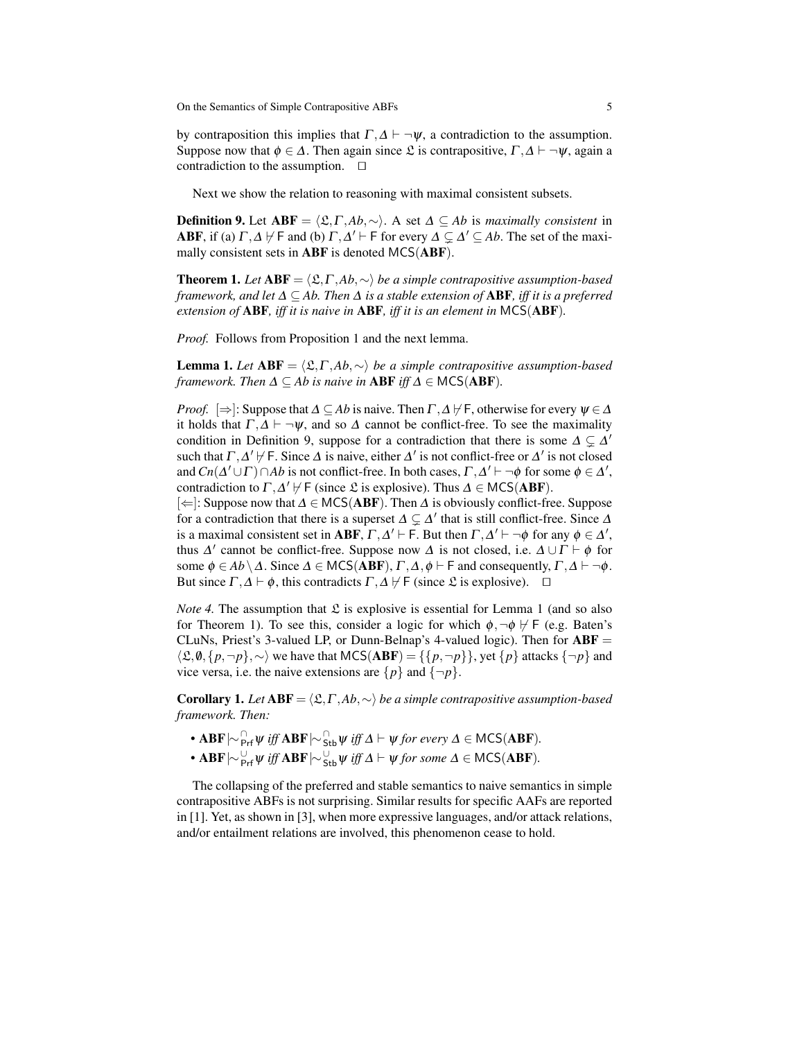by contraposition this implies that  $\Gamma, \Delta \vdash \neg \psi$ , a contradiction to the assumption. Suppose now that  $\phi \in \Delta$ . Then again since  $\mathfrak L$  is contrapositive,  $\Gamma, \Delta \vdash \neg \psi$ , again a contradiction to the assumption.  $\square$ 

Next we show the relation to reasoning with maximal consistent subsets.

**Definition 9.** Let  $ABF = \langle \mathfrak{L}, \Gamma, Ab, \sim \rangle$ . A set  $\Delta \subseteq Ab$  is *maximally consistent* in **ABF**, if (a)  $\Gamma$ ,  $\Delta$   $\nvdash$  F and (b)  $\Gamma$ ,  $\Delta'$   $\vdash$  F for every  $\Delta \subsetneq \Delta' \subseteq Ab$ . The set of the maximally consistent sets in ABF is denoted MCS(ABF).

**Theorem 1.** *Let*  $ABF = \langle \mathcal{L}, \Gamma, Ab, \sim \rangle$  *be a simple contrapositive assumption-based framework, and let* ∆ ⊆ *Ab. Then* ∆ *is a stable extension of* ABF*, iff it is a preferred extension of* ABF*, iff it is naive in* ABF*, iff it is an element in* MCS(ABF)*.*

*Proof.* Follows from Proposition 1 and the next lemma.

**Lemma 1.** *Let*  $ABF = \langle \mathcal{L}, \Gamma, Ab, \sim \rangle$  *be a simple contrapositive assumption-based framework. Then*  $\Delta \subseteq Ab$  *is naive in* **ABF** *iff*  $\Delta \in \text{MCS}(\text{ABF})$ *.* 

*Proof.*  $[\Rightarrow]$ : Suppose that  $\Delta \subseteq Ab$  is naive. Then  $\Gamma, \Delta \nvdash F$ , otherwise for every  $\psi \in \Delta$ it holds that  $\Gamma, \Delta \vdash \neg \psi$ , and so  $\Delta$  cannot be conflict-free. To see the maximality condition in Definition 9, suppose for a contradiction that there is some  $\Delta \subsetneq \Delta'$ such that  $\Gamma, \Delta' \nvdash F$ . Since  $\Delta$  is naive, either  $\Delta'$  is not conflict-free or  $\Delta'$  is not closed and  $Cn(\Delta' \cup \Gamma) \cap Ab$  is not conflict-free. In both cases,  $\Gamma, \Delta' \vdash \neg \phi$  for some  $\phi \in \Delta'$ , contradiction to  $\Gamma$ ,  $\Delta'$   $\nvdash$  F (since  $\mathfrak L$  is explosive). Thus  $\Delta \in \mathsf{MCS}(\mathbf{ABF})$ .

[⇐]: Suppose now that ∆ ∈ MCS(ABF). Then ∆ is obviously conflict-free. Suppose for a contradiction that there is a superset  $\Delta \subsetneq \Delta'$  that is still conflict-free. Since  $\Delta$ is a maximal consistent set in **ABF**,  $\Gamma, \Delta' \vdash F$ . But then  $\Gamma, \Delta' \vdash \neg \phi$  for any  $\phi \in \Delta'$ , thus  $\Delta'$  cannot be conflict-free. Suppose now  $\Delta$  is not closed, i.e.  $\Delta \cup \Gamma \vdash \phi$  for some  $\phi \in Ab \setminus \Delta$ . Since  $\Delta \in \text{MCS}(ABF)$ ,  $\Gamma, \Delta, \phi \vdash F$  and consequently,  $\Gamma, \Delta \vdash \neg \phi$ . But since  $\Gamma, \Delta \vdash \phi$ , this contradicts  $\Gamma, \Delta \not\models \Gamma$  (since  $\mathfrak L$  is explosive).  $\Box$ 

*Note 4.* The assumption that  $\mathfrak L$  is explosive is essential for Lemma 1 (and so also for Theorem 1). To see this, consider a logic for which  $\phi, \neg \phi \nvdash F$  (e.g. Baten's CLuNs, Priest's 3-valued LP, or Dunn-Belnap's 4-valued logic). Then for  $ABF =$  $\langle \mathfrak{L}, \mathbf{0}, \{p, \neg p\}, \sim \rangle$  we have that MCS(ABF) = {{ $p, \neg p$ }}, yet { $p$ } attacks { $\neg p$ } and vice versa, i.e. the naive extensions are  $\{p\}$  and  $\{\neg p\}$ .

**Corollary 1.** *Let*  $ABF = \langle \mathcal{L}, \Gamma, Ab, \sim \rangle$  *be a simple contrapositive assumption-based framework. Then:*

- **ABF**  $\uparrow \sim$   $\bigcap_{P}$  *iff* **ABF**  $\uparrow \sim$   $\bigcap_{S}$  *i<sub>b</sub>*  $\psi$  *iff*  $\Delta$   $\vdash$   $\psi$  *for every*  $\Delta \in \text{MCS}(\text{ABF})$ *.*
- **ABF**  $\vert \sim \frac{U}{P}$ rf Ψ *iff* **ABF**  $\vert \sim \frac{U}{S}$ tb Ψ *iff*  $\Delta \vdash \psi$  *for some*  $\Delta \in \mathsf{MCS}(\mathbf{ABF})$ *.*

The collapsing of the preferred and stable semantics to naive semantics in simple contrapositive ABFs is not surprising. Similar results for specific AAFs are reported in [1]. Yet, as shown in [3], when more expressive languages, and/or attack relations, and/or entailment relations are involved, this phenomenon cease to hold.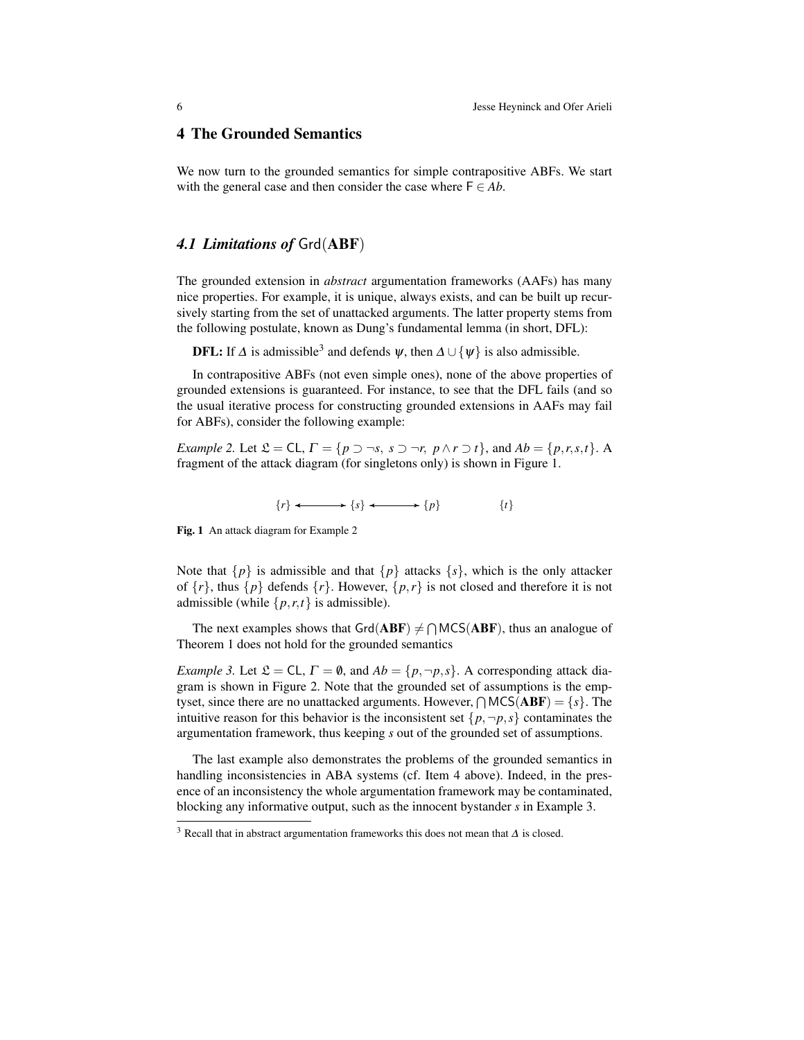### 4 The Grounded Semantics

We now turn to the grounded semantics for simple contrapositive ABFs. We start with the general case and then consider the case where  $F \in Ab$ .

### *4.1 Limitations of* Grd(ABF)

The grounded extension in *abstract* argumentation frameworks (AAFs) has many nice properties. For example, it is unique, always exists, and can be built up recursively starting from the set of unattacked arguments. The latter property stems from the following postulate, known as Dung's fundamental lemma (in short, DFL):

**DFL:** If  $\Delta$  is admissible<sup>3</sup> and defends  $\psi$ , then  $\Delta \cup {\psi}$  is also admissible.

In contrapositive ABFs (not even simple ones), none of the above properties of grounded extensions is guaranteed. For instance, to see that the DFL fails (and so the usual iterative process for constructing grounded extensions in AAFs may fail for ABFs), consider the following example:

*Example 2.* Let  $\mathfrak{L} = \mathsf{CL}, \Gamma = \{p \supset \neg s, s \supset \neg r, p \wedge r \supset t\}$ , and  $Ab = \{p, r, s, t\}$ . A fragment of the attack diagram (for singletons only) is shown in Figure 1.

$$
\{r\} \longleftrightarrow \{s\} \longleftrightarrow \{p\} \qquad \{t\}
$$

Fig. 1 An attack diagram for Example 2

Note that  $\{p\}$  is admissible and that  $\{p\}$  attacks  $\{s\}$ , which is the only attacker of  $\{r\}$ , thus  $\{p\}$  defends  $\{r\}$ . However,  $\{p,r\}$  is not closed and therefore it is not admissible (while  $\{p, r, t\}$  is admissible).

The next examples shows that  $\text{Grd}(\text{ABF}) \neq \bigcap \text{MCS}(\text{ABF})$ , thus an analogue of Theorem 1 does not hold for the grounded semantics

*Example 3.* Let  $\mathcal{L} = CL$ ,  $\Gamma = \emptyset$ , and  $Ab = \{p, \neg p, s\}$ . A corresponding attack diagram is shown in Figure 2. Note that the grounded set of assumptions is the emptyset, since there are no unattacked arguments. However,  $\bigcap {\sf MCS}({\bf ABF}) = \{s\}$ . The intuitive reason for this behavior is the inconsistent set  $\{p, \neg p, s\}$  contaminates the argumentation framework, thus keeping *s* out of the grounded set of assumptions.

The last example also demonstrates the problems of the grounded semantics in handling inconsistencies in ABA systems (cf. Item 4 above). Indeed, in the presence of an inconsistency the whole argumentation framework may be contaminated, blocking any informative output, such as the innocent bystander *s* in Example 3.

<sup>&</sup>lt;sup>3</sup> Recall that in abstract argumentation frameworks this does not mean that  $\Delta$  is closed.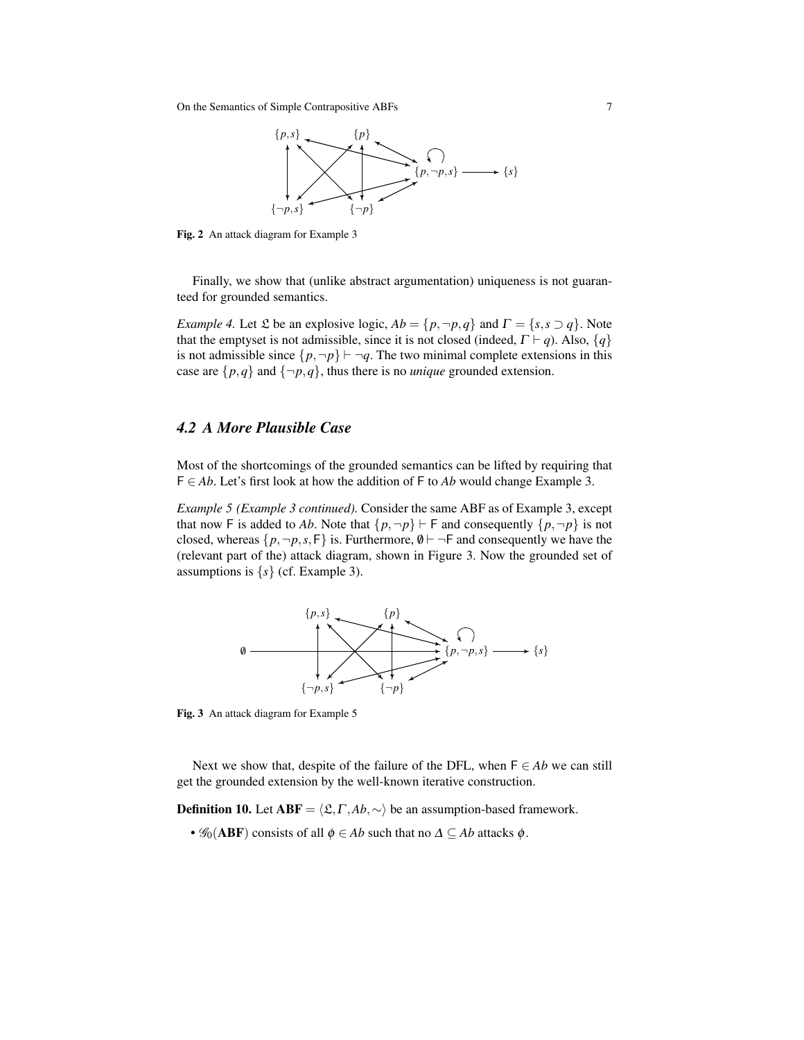On the Semantics of Simple Contrapositive ABFs 7



Fig. 2 An attack diagram for Example 3

Finally, we show that (unlike abstract argumentation) uniqueness is not guaranteed for grounded semantics.

*Example 4.* Let  $\mathfrak L$  be an explosive logic,  $Ab = \{p, \neg p, q\}$  and  $\Gamma = \{s, s \supset q\}$ . Note that the emptyset is not admissible, since it is not closed (indeed,  $\Gamma \vdash q$ ). Also,  $\{q\}$ is not admissible since  $\{p, \neg p\} \vdash \neg q$ . The two minimal complete extensions in this case are  $\{p,q\}$  and  $\{\neg p,q\}$ , thus there is no *unique* grounded extension.

## *4.2 A More Plausible Case*

Most of the shortcomings of the grounded semantics can be lifted by requiring that F ∈ *Ab*. Let's first look at how the addition of F to *Ab* would change Example 3.

*Example 5 (Example 3 continued).* Consider the same ABF as of Example 3, except that now F is added to Ab. Note that  $\{p, \neg p\} \vdash F$  and consequently  $\{p, \neg p\}$  is not closed, whereas  $\{p, \neg p, s, \mathsf{F}\}\$ is. Furthermore,  $\emptyset \vdash \neg \mathsf{F}\$  and consequently we have the (relevant part of the) attack diagram, shown in Figure 3. Now the grounded set of assumptions is  $\{s\}$  (cf. Example 3).



Fig. 3 An attack diagram for Example 5

Next we show that, despite of the failure of the DFL, when  $F \in Ab$  we can still get the grounded extension by the well-known iterative construction.

**Definition 10.** Let **ABF** =  $\langle \mathcal{L}, \Gamma, Ab, \sim \rangle$  be an assumption-based framework.

•  $\mathscr{G}_0$ (ABF) consists of all  $\phi \in Ab$  such that no  $\Delta \subseteq Ab$  attacks  $\phi$ .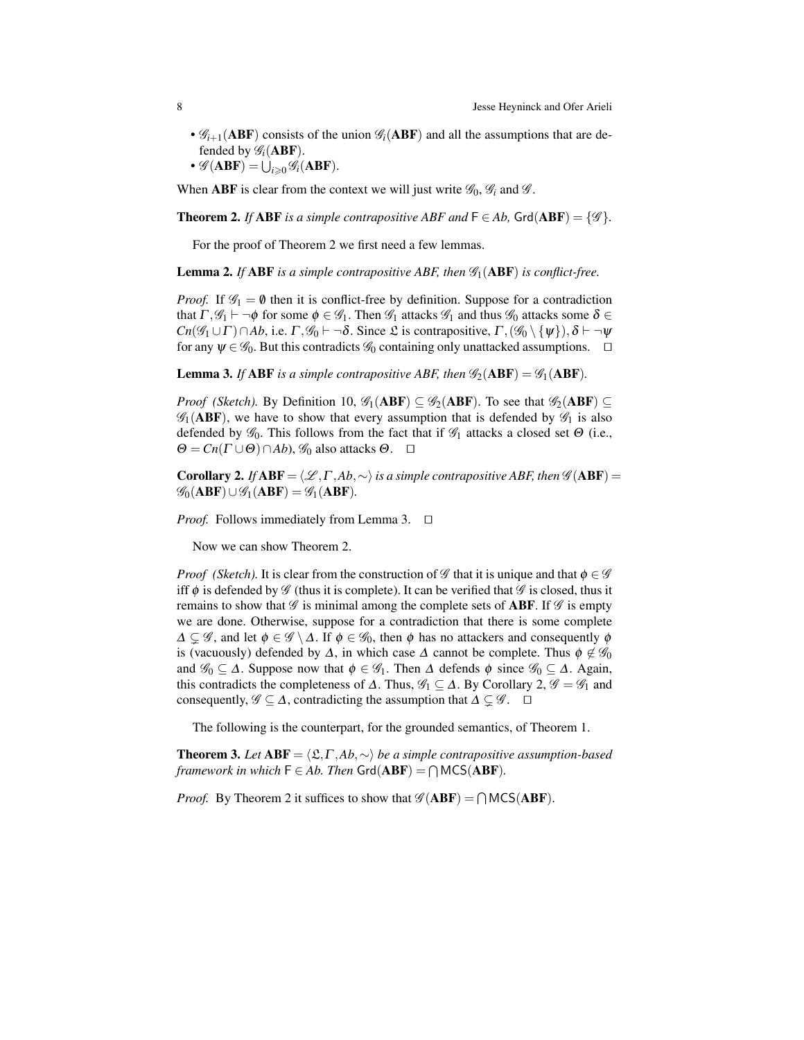- $\mathscr{G}_{i+1}(\text{ABF})$  consists of the union  $\mathscr{G}_i(\text{ABF})$  and all the assumptions that are defended by  $\mathscr{G}_i$ (ABF).
- $\mathscr{G}(\mathbf{ABF}) = \bigcup_{i \geqslant 0} \mathscr{G}_i(\mathbf{ABF}).$

When **ABF** is clear from the context we will just write  $\mathscr{G}_0$ ,  $\mathscr{G}_i$  and  $\mathscr{G}$ .

**Theorem 2.** *If* **ABF** *is a simple contrapositive ABF and*  $F \in Ab$ ,  $Grd(ABF) = \{$ mathscr{G}\}.

For the proof of Theorem 2 we first need a few lemmas.

**Lemma 2.** If ABF is a simple contrapositive ABF, then  $\mathscr{G}_1$ (ABF) is conflict-free.

*Proof.* If  $\mathscr{G}_1 = \emptyset$  then it is conflict-free by definition. Suppose for a contradiction that  $\Gamma, \mathscr{G}_1 \vdash \neg \phi$  for some  $\phi \in \mathscr{G}_1$ . Then  $\mathscr{G}_1$  attacks  $\mathscr{G}_1$  and thus  $\mathscr{G}_0$  attacks some  $\delta \in$ *Cn*( $\mathscr{G}_1 \cup \Gamma$ ) $\cap$ *Ab*, i.e.  $\Gamma$ ,  $\mathscr{G}_0 \vdash \neg \delta$ . Since  $\mathfrak{L}$  is contrapositive,  $\Gamma$ ,  $(\mathscr{G}_0 \setminus {\psi})$ ,  $\delta \vdash \neg \psi$ for any  $\psi \in \mathscr{G}_0$ . But this contradicts  $\mathscr{G}_0$  containing only unattacked assumptions.  $\Box$ 

**Lemma 3.** If ABF is a simple contrapositive ABF, then  $\mathcal{G}_2$  (ABF) =  $\mathcal{G}_1$  (ABF).

*Proof* (*Sketch*). By Definition 10,  $\mathscr{G}_1(ABF) \subseteq \mathscr{G}_2(ABF)$ . To see that  $\mathscr{G}_2(ABF) \subseteq$  $\mathscr{G}_1$ (ABF), we have to show that every assumption that is defended by  $\mathscr{G}_1$  is also defended by  $\mathscr{G}_0$ . This follows from the fact that if  $\mathscr{G}_1$  attacks a closed set  $\Theta$  (i.e.,  $\Theta = Cn(\Gamma \cup \Theta) \cap Ab$ ,  $\mathcal{G}_0$  also attacks  $\Theta$ .  $\square$ 

**Corollary 2.** *If*  $ABF = \langle \mathcal{L}, \Gamma, Ab, \sim \rangle$  *is a simple contrapositive ABF, then*  $\mathcal{G}(ABF) =$  $\mathscr{G}_0(ABF)\cup\mathscr{G}_1(ABF)=\mathscr{G}_1(ABF).$ 

*Proof.* Follows immediately from Lemma 3.  $\Box$ 

Now we can show Theorem 2.

*Proof* (*Sketch*). It is clear from the construction of G that it is unique and that  $\phi \in \mathscr{G}$ iff  $\phi$  is defended by  $\mathscr G$  (thus it is complete). It can be verified that  $\mathscr G$  is closed, thus it remains to show that  $\mathscr G$  is minimal among the complete sets of **ABF**. If  $\mathscr G$  is empty we are done. Otherwise, suppose for a contradiction that there is some complete  $\Delta \subseteq \mathscr{G}$ , and let  $\phi \in \mathscr{G} \setminus \Delta$ . If  $\phi \in \mathscr{G}_0$ , then  $\phi$  has no attackers and consequently  $\phi$ is (vacuously) defended by  $\Delta$ , in which case  $\Delta$  cannot be complete. Thus  $\phi \notin \mathscr{G}_0$ and  $\mathscr{G}_0 \subseteq \Delta$ . Suppose now that  $\phi \in \mathscr{G}_1$ . Then  $\Delta$  defends  $\phi$  since  $\mathscr{G}_0 \subseteq \Delta$ . Again, this contradicts the completeness of  $\Delta$ . Thus,  $\mathscr{G}_1 \subseteq \Delta$ . By Corollary 2,  $\mathscr{G} = \mathscr{G}_1$  and consequently,  $\mathscr{G} \subseteq \Delta$ , contradicting the assumption that  $\Delta \subseteq \mathscr{G}$ .  $\square$ 

The following is the counterpart, for the grounded semantics, of Theorem 1.

**Theorem 3.** Let  $ABF = \langle \mathfrak{L}, \Gamma, Ab, \sim \rangle$  *be a simple contrapositive assumption-based framework in which*  $F \in Ab$ . Then  $Grd(ABF) = \bigcap MCS(ABF)$ .

*Proof.* By Theorem 2 it suffices to show that  $\mathscr{G}(ABF) = \bigcap MCS(ABF)$ .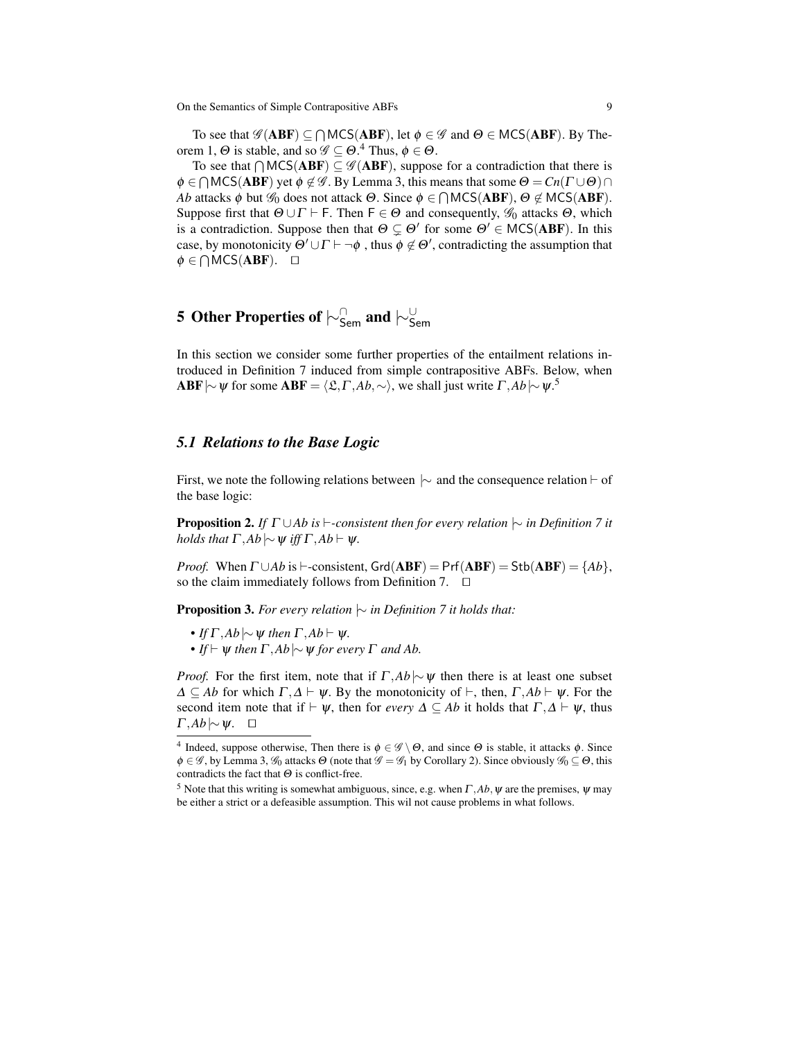To see that  $\mathscr{G}(\mathbf{ABF}) \subseteq \bigcap \mathsf{MCS}(\mathbf{ABF})$ , let  $\phi \in \mathscr{G}$  and  $\Theta \in \mathsf{MCS}(\mathbf{ABF})$ . By Theorem 1,  $\Theta$  is stable, and so  $\mathscr{G} \subseteq \Theta$ .<sup>4</sup> Thus,  $\phi \in \Theta$ .

To see that  $\bigcap \text{MCS}(\text{ABF}) \subseteq \mathscr{G}(\text{ABF})$ , suppose for a contradiction that there is  $\phi \in \bigcap {\sf MCS}({\bf ABF})$  yet  $\phi \not\in \mathscr{G}$ . By Lemma 3, this means that some  $\Theta = Cn(\Gamma \cup \Theta) \cap$ *Ab* attacks  $\phi$  but  $\mathscr{G}_0$  does not attack  $\Theta$ . Since  $\phi \in \bigcap {\sf MCS}({\bf ABF})$ ,  $\Theta \not\in {\sf MCS}({\bf ABF})$ . Suppose first that  $\Theta \cup \Gamma \vdash F$ . Then  $F \in \Theta$  and consequently,  $\mathscr{G}_0$  attacks  $\Theta$ , which is a contradiction. Suppose then that  $\Theta \subsetneq \Theta'$  for some  $\Theta' \in \text{MCS}(ABF)$ . In this case, by monotonicity  $\Theta' \cup \Gamma \vdash \neg \phi$ , thus  $\phi \not\in \Theta'$ , contradicting the assumption that  $\phi \in \bigcap \text{MCS}(\text{ABF})$ .  $\Box$ 

# 5 Other Properties of  $\mid\!\!\sim_{\mathsf{Sem}}^{\cap}$  and  $\mid\!\!\sim_{\mathsf{Sem}}^{\cup}$

In this section we consider some further properties of the entailment relations introduced in Definition 7 induced from simple contrapositive ABFs. Below, when **ABF**  $\vert \sim \psi$  for some **ABF** =  $\langle \mathfrak{L}, \Gamma, Ab, \sim \rangle$ , we shall just write  $\Gamma, Ab \vert \sim \psi$ .<sup>5</sup>

### *5.1 Relations to the Base Logic*

First, we note the following relations between  $\sim$  and the consequence relation  $\vdash$  of the base logic:

**Proposition 2.** *If*  $\Gamma \cup Ab$  *is*  $\vdash$ -consistent then for every relation  $\sim$  *in Definition* 7 *it holds that*  $\Gamma$ *,Ab*  $\sim$   $\psi$  *iff*  $\Gamma$ *,Ab*  $\vdash$   $\psi$ *.* 

*Proof.* When  $\Gamma \cup Ab$  is  $\vdash$ -consistent, Grd( $ABF$ ) = Prf( $ABF$ ) = Stb( $ABF$ ) = { $Ab$ }, so the claim immediately follows from Definition 7.  $\Box$ 

Proposition 3. *For every relation* |∼ *in Definition 7 it holds that:*

- $\bullet$  *If*  $\Gamma$ *,Ab*  $\sim$   $\psi$  *then*  $\Gamma$ *,Ab*  $\vdash$   $\psi$ *.*
- *If*  $\vdash \psi$  *then*  $\Gamma$ *,Ab*  $\vert \sim \psi$  *for every*  $\Gamma$  *and Ab.*

*Proof.* For the first item, note that if  $\Gamma$ , *Ab*|∼ $\psi$  then there is at least one subset  $\Delta \subseteq Ab$  for which  $\Gamma, \Delta \vdash \psi$ . By the monotonicity of  $\vdash$ , then,  $\Gamma, Ab \vdash \psi$ . For the second item note that if  $\vdash \psi$ , then for *every*  $\Delta \subseteq Ab$  it holds that  $\Gamma, \Delta \vdash \psi$ , thus  $Γ, Ab|~\vee$ *Ψ.* □

<sup>&</sup>lt;sup>4</sup> Indeed, suppose otherwise, Then there is  $\phi \in \mathscr{G} \setminus \Theta$ , and since  $\Theta$  is stable, it attacks  $\phi$ . Since  $\phi \in \mathscr{G}$ , by Lemma 3,  $\mathscr{G}_0$  attacks  $\Theta$  (note that  $\mathscr{G} = \mathscr{G}_1$  by Corollary 2). Since obviously  $\mathscr{G}_0 \subseteq \Theta$ , this contradicts the fact that  $\Theta$  is conflict-free.

<sup>&</sup>lt;sup>5</sup> Note that this writing is somewhat ambiguous, since, e.g. when  $\Gamma$ , *Ab*,  $\psi$  are the premises,  $\psi$  may be either a strict or a defeasible assumption. This wil not cause problems in what follows.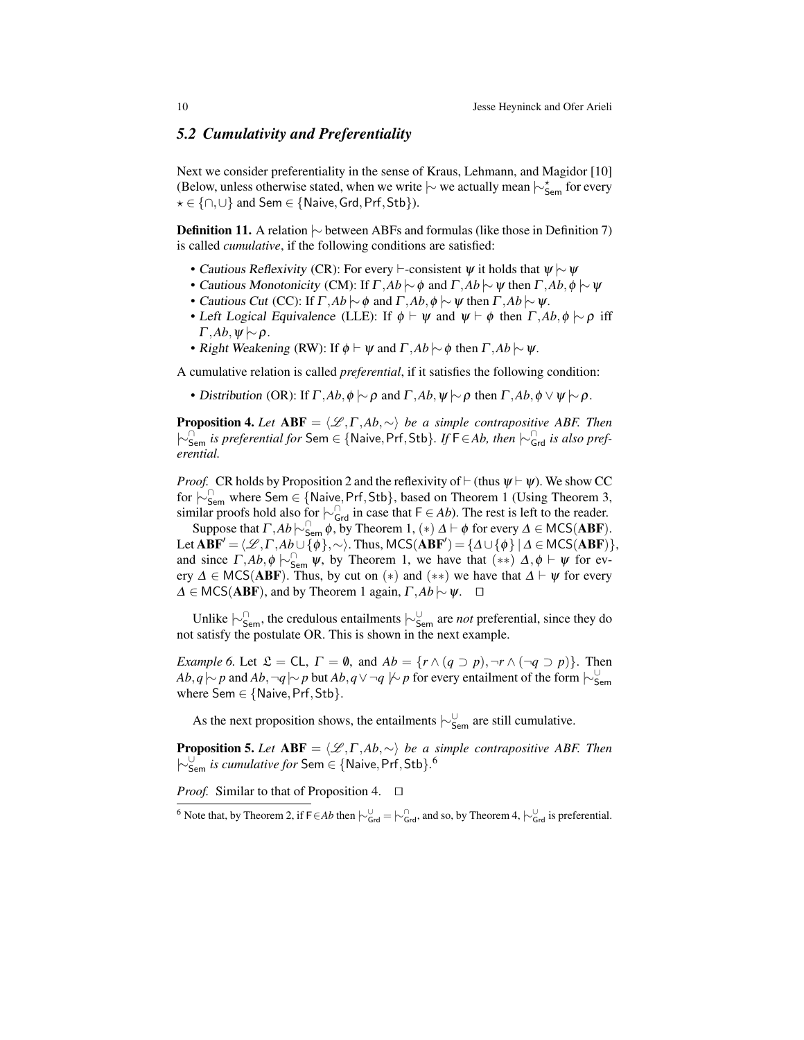### *5.2 Cumulativity and Preferentiality*

Next we consider preferentiality in the sense of Kraus, Lehmann, and Magidor [10] (Below, unless otherwise stated, when we write  $\sim$  we actually mean  $\sim_{\text{Sem}}^{\star}$  for every  $\star \in \{\cap, \cup\}$  and Sem ∈ {Naive, Grd, Prf, Stb}).

Definition 11. A relation  $\sim$  between ABFs and formulas (like those in Definition 7) is called *cumulative*, if the following conditions are satisfied:

- Cautious Reflexivity (CR): For every  $\vdash$ -consistent  $\psi$  it holds that  $\psi \sim \psi$
- Cautious Monotonicity (CM): If  $\Gamma$ ,  $Ab \sim \phi$  and  $\Gamma$ ,  $Ab \sim \psi$  then  $\Gamma$ ,  $Ab$ ,  $\phi \sim \psi$
- Cautious Cut (CC): If  $\Gamma$ *,Ab*  $\sim \phi$  and  $\Gamma$ *,Ab*, $\phi \sim \psi$  then  $\Gamma$ *,Ab*  $\sim \psi$ .
- Left Logical Equivalence (LLE): If  $\phi \vdash \psi$  and  $\psi \vdash \phi$  then  $\Gamma$ , *Ab*,  $\phi \models \rho$  iff  $\Gamma$ *,Ab*,  $\psi \sim \rho$ .
- Right Weakening (RW): If  $\phi \vdash \psi$  and  $\Gamma$ *,Ab*  $\sim \phi$  then  $\Gamma$ *,Ab*  $\sim \psi$ *.*

A cumulative relation is called *preferential*, if it satisfies the following condition:

• Distribution (OR): If  $\Gamma$ ,  $Ab$ ,  $\phi \sim \rho$  and  $\Gamma$ ,  $Ab$ ,  $\psi \sim \rho$  then  $\Gamma$ ,  $Ab$ ,  $\phi \vee \psi \sim \rho$ .

**Proposition 4.** Let  $ABF = \langle \mathcal{L}, \Gamma, Ab, \sim \rangle$  *be a simple contrapositive ABF. Then* |∼<sup>∩</sup> Sem *is preferential for* Sem ∈ {Naive,Prf,Stb}*. If* <sup>F</sup>∈*Ab, then* |∼<sup>∩</sup> Grd *is also preferential.*

*Proof.* CR holds by Proposition 2 and the reflexivity of  $\vdash$  (thus  $\psi \vdash \psi$ ). We show CC for |∼<sup>∩</sup> Sem where Sem ∈ {Naive,Prf,Stb}, based on Theorem 1 (Using Theorem 3, similar proofs hold also for  $\vdash_{\mathsf{Grd}}^{\cap}$  in case that  $\mathsf{F} \in Ab$ ). The rest is left to the reader.

Suppose that  $\Gamma$ ,  $Ab \sim_{\text{Sem}}^{\cap} \phi$ , by Theorem 1,  $(*) \Delta \vdash \phi$  for every  $\Delta \in \text{MCS}(ABF)$ . Let  $ABF' = \langle \mathcal{L}, \Gamma, Ab \cup \{ \phi \}, \sim \rangle$ . Thus, MCS( $ABF'$ ) = { $\Delta \cup \{ \phi \} | \Delta \in \text{MCS}(ABF)$ }, and since  $\Gamma$ , *Ab*,  $\phi \sim_{\text{Sem}}^{\cap} \psi$ , by Theorem 1, we have that  $(**)$   $\Delta$ ,  $\phi \vdash \psi$  for every  $\Delta \in \text{MCS}(ABF)$ . Thus, by cut on  $(*)$  and  $(**)$  we have that  $\Delta \vdash \psi$  for every  $\Delta$  ∈ MCS(**ABF**), and by Theorem 1 again,  $\Gamma$ , *Ab*  $\sim$   $\psi$ .  $\Box$ 

Unlike |∼<sup>∩</sup> Sem, the credulous entailments |∼<sup>∪</sup> Sem are *not* preferential, since they do not satisfy the postulate OR. This is shown in the next example.

*Example 6.* Let  $\mathfrak{L} = CL$ ,  $\Gamma = \emptyset$ , and  $Ab = \{r \wedge (q \supset p), \neg r \wedge (\neg q \supset p)\}.$  Then *Ab*, *q*  $\sim$  *p* and *Ab*, ¬*q*  $\sim$  *p* but *Ab*, *q* ∨ ¬*q*  $\not\sim$  *p* for every entailment of the form  $\sim$ <sup>∪</sup><sub>Sem</sub> where  $Sem \in \{Naive, Prf, Stb\}.$ 

As the next proposition shows, the entailments  $\vdash_{\mathsf{Sem}}^{\cup}$  are still cumulative.

**Proposition 5.** *Let*  $ABF = \langle \mathcal{L}, \Gamma, Ab, \sim \rangle$  *be a simple contrapositive ABF. Then* |∼<sup>∪</sup> Sem *is cumulative for* Sem ∈ {Naive,Prf,Stb}*.* 6

*Proof.* Similar to that of Proposition 4.  $\Box$ 

<sup>&</sup>lt;sup>6</sup> Note that, by Theorem 2, if F∈*Ab* then  $\vdash_{\mathsf{Grd}}^{\cup} = \vdash_{\mathsf{Grd}}^{\cap}$ , and so, by Theorem 4,  $\vdash_{\mathsf{Grd}}^{\cup}$  is preferential.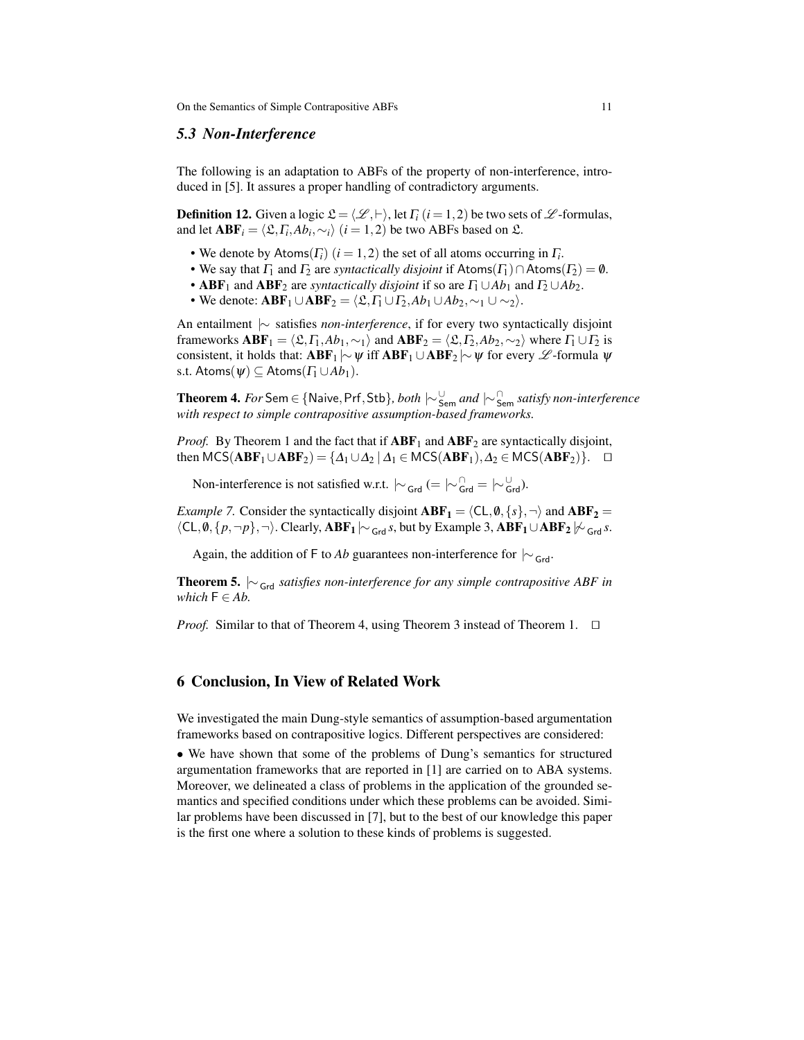#### *5.3 Non-Interference*

The following is an adaptation to ABFs of the property of non-interference, introduced in [5]. It assures a proper handling of contradictory arguments.

**Definition 12.** Given a logic  $\mathcal{L} = \langle \mathcal{L}, \vdash \rangle$ , let  $\Gamma_i$  (*i* = 1,2) be two sets of  $\mathcal{L}$ -formulas, and let  $\mathbf{ABF}_i = \langle \mathfrak{L}, \Gamma_i, Ab_i, \sim_i \rangle$   $(i = 1, 2)$  be two ABFs based on  $\mathfrak{L}$ .

- We denote by  $\text{Atoms}(F_i)$   $(i = 1, 2)$  the set of all atoms occurring in  $F_i$ .
- We say that  $\Gamma_1$  and  $\Gamma_2$  are *syntactically disjoint* if Atoms( $\Gamma_1$ ) ∩ Atoms( $\Gamma_2$ ) = 0.
- **ABF**<sub>1</sub> and **ABF**<sub>2</sub> are *syntactically disjoint* if so are  $\Gamma_1 \cup Ab_1$  and  $\Gamma_2 \cup Ab_2$ .
- We denote:  $\mathbf{ABF}_1 \cup \mathbf{ABF}_2 = \langle \mathfrak{L}, \Gamma_1 \cup \Gamma_2, Ab_1 \cup Ab_2, \sim_1 \cup \sim_2 \rangle.$

An entailment |∼ satisfies *non-interference*, if for every two syntactically disjoint frameworks  $ABF_1 = \langle \mathfrak{L}, \Gamma_1, Ab_1, \sim_1 \rangle$  and  $ABF_2 = \langle \mathfrak{L}, \Gamma_2, Ab_2, \sim_2 \rangle$  where  $\Gamma_1 \cup \Gamma_2$  is consistent, it holds that:  $ABF_1 \sim \psi$  iff  $ABF_1 \cup ABF_2 \sim \psi$  for every  $\mathscr{L}$ -formula  $\psi$ s.t. Atoms( $\psi$ )  $\subseteq$  Atoms( $\Gamma_1 \cup Ab_1$ ).

Theorem 4. *For* Sem ∈ {Naive,Prf,Stb}*, both* |∼<sup>∪</sup> Sem *and* |∼<sup>∩</sup> Sem *satisfy non-interference with respect to simple contrapositive assumption-based frameworks.*

*Proof.* By Theorem 1 and the fact that if  $ABF_1$  and  $ABF_2$  are syntactically disjoint, then MCS( $ABF_1 \cup ABF_2$ ) = { $\Delta_1 \cup \Delta_2 | \Delta_1 \in MCS(ABF_1), \Delta_2 \in MCS(ABF_2)$ }.  $\Box$ 

Non-interference is not satisfied w.r.t.  $\vert \sim_{\text{Grd}} (=\vert \sim_{\text{Grd}}^{\cap} = \vert \sim_{\text{Grd}}^{\cup}$ ).

*Example 7.* Consider the syntactically disjoint  $ABF_1 = \langle CL, \emptyset, \{s\}, \neg \rangle$  and  $ABF_2 = \langle CL, \emptyset, \{s\}, \neg \rangle$  $\langle CL, \emptyset, \{p, \neg p\}, \neg \rangle$ . Clearly, ABF<sub>1</sub>  $\vert \sim_{Grd} s$ , but by Example 3, ABF<sub>1</sub>∪ABF<sub>2</sub>  $\vert \not\sim_{Grd} s$ .

Again, the addition of F to *Ab* guarantees non-interference for  $| \sim_{\text{Grd}}$ .

Theorem 5.  $\sim$ <sub>Grd</sub> *satisfies non-interference for any simple contrapositive ABF in which*  $F \in Ab$ .

*Proof.* Similar to that of Theorem 4, using Theorem 3 instead of Theorem 1.  $\Box$ 

### 6 Conclusion, In View of Related Work

We investigated the main Dung-style semantics of assumption-based argumentation frameworks based on contrapositive logics. Different perspectives are considered:

• We have shown that some of the problems of Dung's semantics for structured argumentation frameworks that are reported in [1] are carried on to ABA systems. Moreover, we delineated a class of problems in the application of the grounded semantics and specified conditions under which these problems can be avoided. Similar problems have been discussed in [7], but to the best of our knowledge this paper is the first one where a solution to these kinds of problems is suggested.